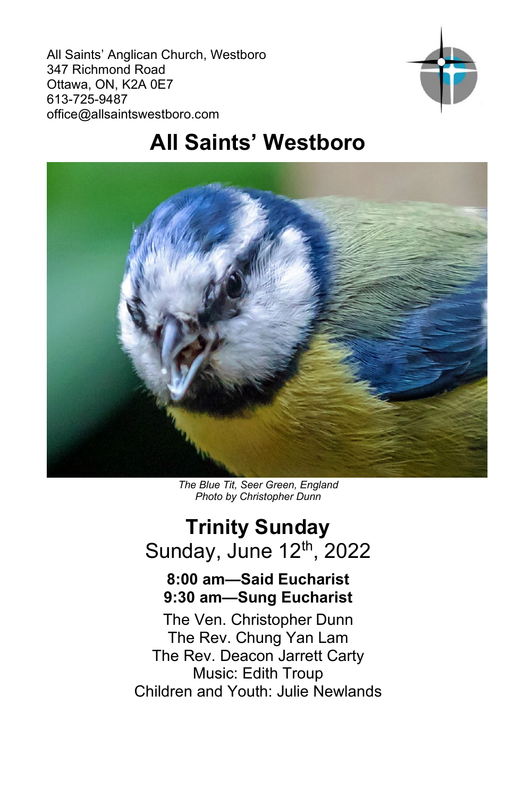All Saints' Anglican Church, Westboro 347 Richmond Road Ottawa, ON, K2A 0E7 613-725-9487 office@allsaintswestboro.com



# **All Saints' Westboro**



*The Blue Tit, Seer Green, England Photo by Christopher Dunn*

## **Trinity Sunday** Sunday, June  $12<sup>th</sup>$ , 2022

## **8:00 am—Said Eucharist 9:30 am—Sung Eucharist**

The Ven. Christopher Dunn The Rev. Chung Yan Lam The Rev. Deacon Jarrett Carty Music: Edith Troup Children and Youth: Julie Newlands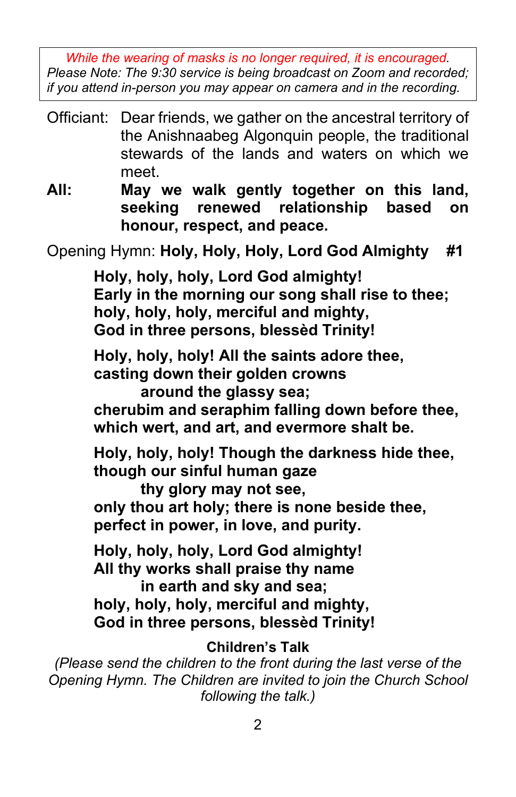*While the wearing of masks is no longer required, it is encouraged. Please Note: The 9:30 service is being broadcast on Zoom and recorded; if you attend in-person you may appear on camera and in the recording.*

- Officiant: Dear friends, we gather on the ancestral territory of the Anishnaabeg Algonquin people, the traditional stewards of the lands and waters on which we meet.
- **All: May we walk gently together on this land, seeking renewed relationship based on honour, respect, and peace.**

Opening Hymn: **Holy, Holy, Holy, Lord God Almighty #1**

**Holy, holy, holy, Lord God almighty! Early in the morning our song shall rise to thee; holy, holy, holy, merciful and mighty, God in three persons, blessèd Trinity!**

**Holy, holy, holy! All the saints adore thee, casting down their golden crowns**

**around the glassy sea;**

**cherubim and seraphim falling down before thee, which wert, and art, and evermore shalt be.**

**Holy, holy, holy! Though the darkness hide thee, though our sinful human gaze** 

**thy glory may not see, only thou art holy; there is none beside thee, perfect in power, in love, and purity.**

**Holy, holy, holy, Lord God almighty! All thy works shall praise thy name in earth and sky and sea; holy, holy, holy, merciful and mighty, God in three persons, blessèd Trinity!**

## **Children's Talk**

*(Please send the children to the front during the last verse of the Opening Hymn. The Children are invited to join the Church School following the talk.)*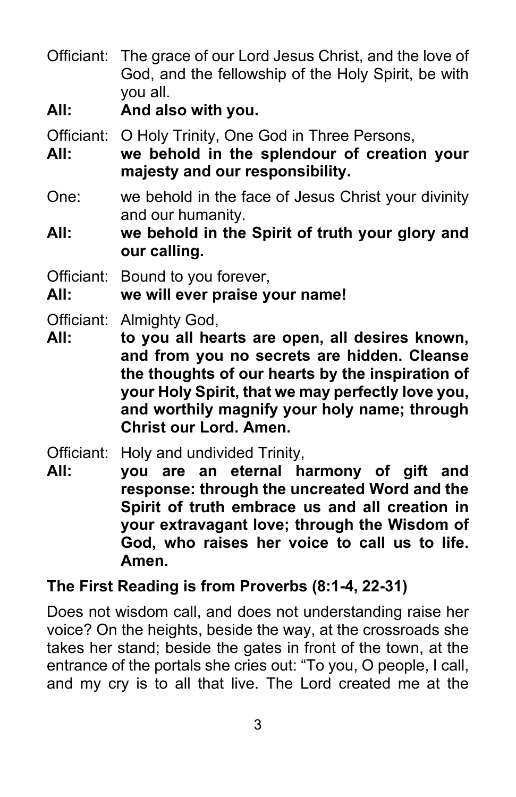Officiant: The grace of our Lord Jesus Christ, and the love of God, and the fellowship of the Holy Spirit, be with you all.

**All: And also with you.**

- Officiant: O Holy Trinity, One God in Three Persons,
- **All: we behold in the splendour of creation your majesty and our responsibility.**
- One: we behold in the face of Jesus Christ your divinity and our humanity.
- **All: we behold in the Spirit of truth your glory and our calling.**
- Officiant: Bound to you forever,

**All: we will ever praise your name!**

- Officiant: Almighty God,
- **All: to you all hearts are open, all desires known, and from you no secrets are hidden. Cleanse the thoughts of our hearts by the inspiration of your Holy Spirit, that we may perfectly love you, and worthily magnify your holy name; through Christ our Lord. Amen.**
- Officiant: Holy and undivided Trinity,
- **All: you are an eternal harmony of gift and response: through the uncreated Word and the Spirit of truth embrace us and all creation in your extravagant love; through the Wisdom of God, who raises her voice to call us to life. Amen.**

## **The First Reading is from Proverbs (8:1-4, 22-31)**

Does not wisdom call, and does not understanding raise her voice? On the heights, beside the way, at the crossroads she takes her stand; beside the gates in front of the town, at the entrance of the portals she cries out: "To you, O people, I call, and my cry is to all that live. The Lord created me at the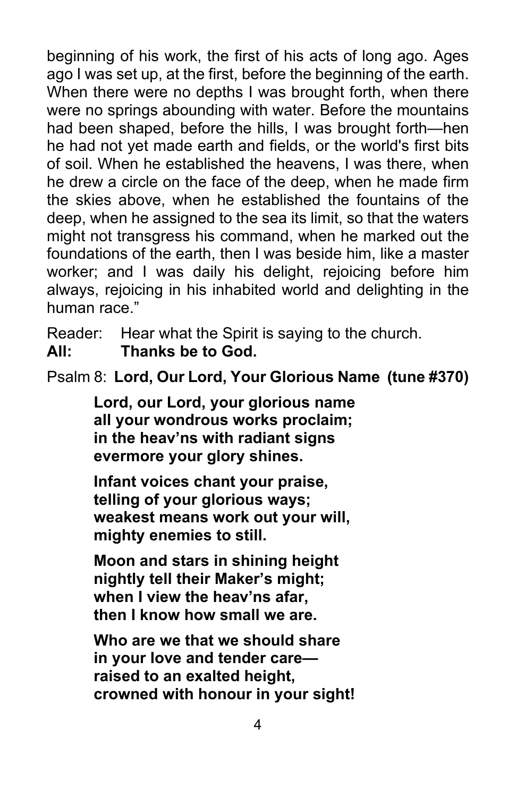beginning of his work, the first of his acts of long ago. Ages ago I was set up, at the first, before the beginning of the earth. When there were no depths I was brought forth, when there were no springs abounding with water. Before the mountains had been shaped, before the hills, I was brought forth—hen he had not yet made earth and fields, or the world's first bits of soil. When he established the heavens, I was there, when he drew a circle on the face of the deep, when he made firm the skies above, when he established the fountains of the deep, when he assigned to the sea its limit, so that the waters might not transgress his command, when he marked out the foundations of the earth, then I was beside him, like a master worker; and I was daily his delight, rejoicing before him always, rejoicing in his inhabited world and delighting in the human race."

Reader: Hear what the Spirit is saying to the church.

**All: Thanks be to God.**

Psalm 8: **Lord, Our Lord, Your Glorious Name (tune #370)**

**Lord, our Lord, your glorious name all your wondrous works proclaim; in the heav'ns with radiant signs evermore your glory shines.**

**Infant voices chant your praise, telling of your glorious ways; weakest means work out your will, mighty enemies to still.**

**Moon and stars in shining height nightly tell their Maker's might; when I view the heav'ns afar, then I know how small we are.**

**Who are we that we should share in your love and tender care raised to an exalted height, crowned with honour in your sight!**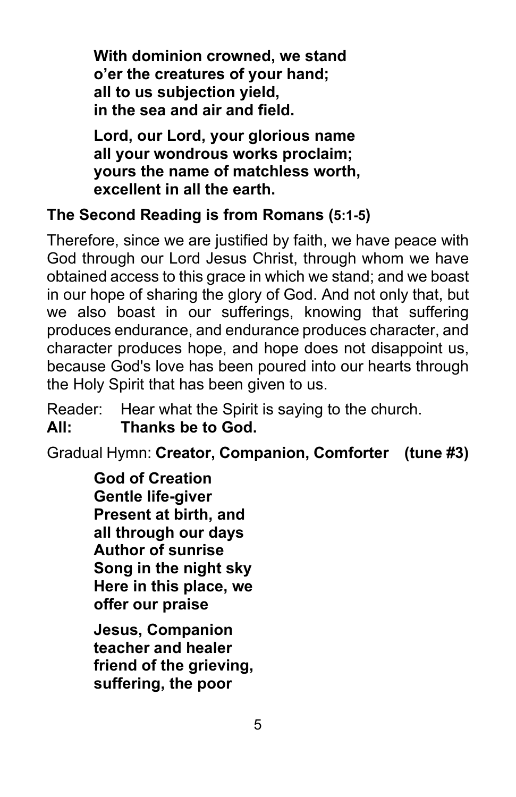**With dominion crowned, we stand o'er the creatures of your hand; all to us subjection yield, in the sea and air and field.**

**Lord, our Lord, your glorious name all your wondrous works proclaim; yours the name of matchless worth, excellent in all the earth.**

## **The Second Reading is from Romans (5:1-5)**

Therefore, since we are justified by faith, we have peace with God through our Lord Jesus Christ, through whom we have obtained access to this grace in which we stand; and we boast in our hope of sharing the glory of God. And not only that, but we also boast in our sufferings, knowing that suffering produces endurance, and endurance produces character, and character produces hope, and hope does not disappoint us, because God's love has been poured into our hearts through the Holy Spirit that has been given to us.

Reader: Hear what the Spirit is saying to the church. **All: Thanks be to God.**

Gradual Hymn: **Creator, Companion, Comforter (tune #3)**

**God of Creation Gentle life-giver Present at birth, and all through our days Author of sunrise Song in the night sky Here in this place, we offer our praise**

**Jesus, Companion teacher and healer friend of the grieving, suffering, the poor**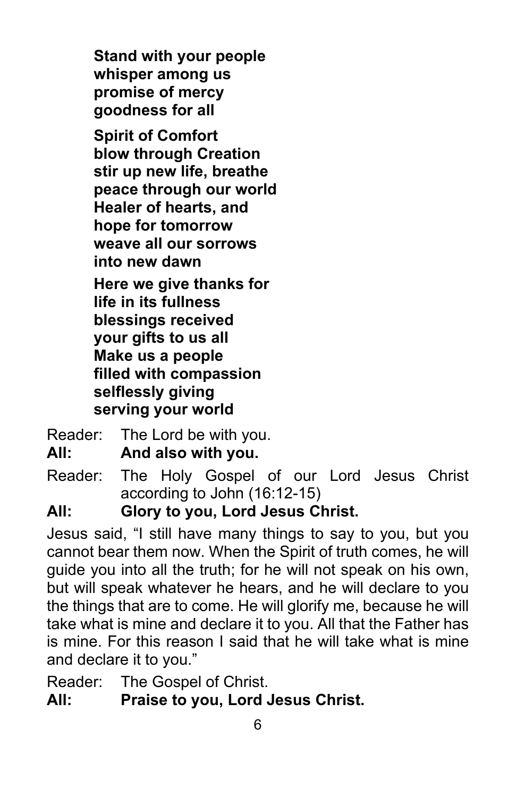**Stand with your people whisper among us promise of mercy goodness for all**

**Spirit of Comfort blow through Creation stir up new life, breathe peace through our world Healer of hearts, and hope for tomorrow weave all our sorrows into new dawn Here we give thanks for life in its fullness blessings received your gifts to us all Make us a people filled with compassion selflessly giving serving your world**

Reader: The Lord be with you.

**All: And also with you.**

Reader: The Holy Gospel of our Lord Jesus Christ according to John (16:12-15)

## **All: Glory to you, Lord Jesus Christ.**

Jesus said, "I still have many things to say to you, but you cannot bear them now. When the Spirit of truth comes, he will guide you into all the truth; for he will not speak on his own, but will speak whatever he hears, and he will declare to you the things that are to come. He will glorify me, because he will take what is mine and declare it to you. All that the Father has is mine. For this reason I said that he will take what is mine and declare it to you."

Reader: The Gospel of Christ.

**All: Praise to you, Lord Jesus Christ.**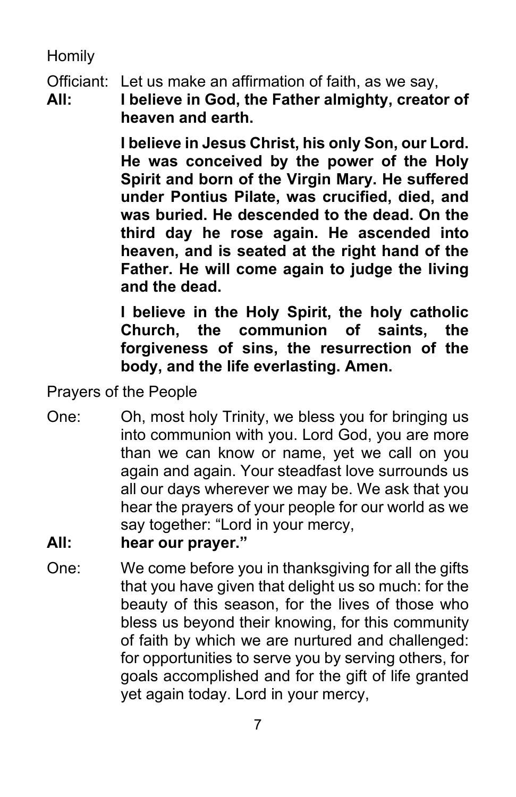**Homily** 

- Officiant: Let us make an affirmation of faith, as we say,
- **All: I believe in God, the Father almighty, creator of heaven and earth.**

**I believe in Jesus Christ, his only Son, our Lord. He was conceived by the power of the Holy Spirit and born of the Virgin Mary. He suffered under Pontius Pilate, was crucified, died, and was buried. He descended to the dead. On the third day he rose again. He ascended into heaven, and is seated at the right hand of the Father. He will come again to judge the living and the dead.** 

**I believe in the Holy Spirit, the holy catholic Church, the communion of saints, the forgiveness of sins, the resurrection of the body, and the life everlasting. Amen.**

Prayers of the People

One: Oh, most holy Trinity, we bless you for bringing us into communion with you. Lord God, you are more than we can know or name, yet we call on you again and again. Your steadfast love surrounds us all our days wherever we may be. We ask that you hear the prayers of your people for our world as we say together: "Lord in your mercy,

## **All: hear our prayer."**

One: We come before you in thanksgiving for all the gifts that you have given that delight us so much: for the beauty of this season, for the lives of those who bless us beyond their knowing, for this community of faith by which we are nurtured and challenged: for opportunities to serve you by serving others, for goals accomplished and for the gift of life granted yet again today. Lord in your mercy,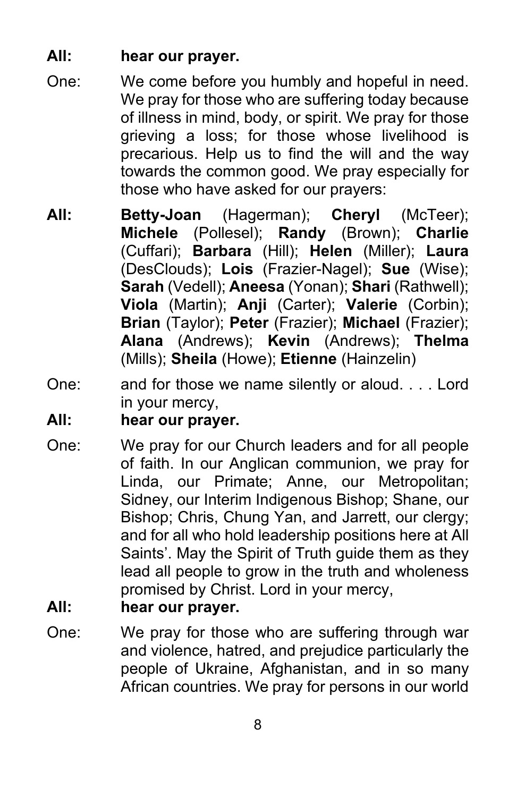## **All: hear our prayer.**

- One: We come before you humbly and hopeful in need. We pray for those who are suffering today because of illness in mind, body, or spirit. We pray for those grieving a loss; for those whose livelihood is precarious. Help us to find the will and the way towards the common good. We pray especially for those who have asked for our prayers:
- **All: Betty-Joan** (Hagerman); **Cheryl** (McTeer); **Michele** (Pollesel); **Randy** (Brown); **Charlie**  (Cuffari); **Barbara** (Hill); **Helen** (Miller); **Laura** (DesClouds); **Lois** (Frazier-Nagel); **Sue** (Wise); **Sarah** (Vedell); **Aneesa** (Yonan); **Shari** (Rathwell); **Viola** (Martin); **Anji** (Carter); **Valerie** (Corbin); **Brian** (Taylor); **Peter** (Frazier); **Michael** (Frazier); **Alana** (Andrews); **Kevin** (Andrews); **Thelma**  (Mills); **Sheila** (Howe); **Etienne** (Hainzelin)
- One: and for those we name silently or aloud. . . . Lord in your mercy,
- **All: hear our prayer.**
- One: We pray for our Church leaders and for all people of faith. In our Anglican communion, we pray for Linda, our Primate; Anne, our Metropolitan; Sidney, our Interim Indigenous Bishop; Shane, our Bishop; Chris, Chung Yan, and Jarrett, our clergy; and for all who hold leadership positions here at All Saints'. May the Spirit of Truth guide them as they lead all people to grow in the truth and wholeness promised by Christ. Lord in your mercy,
- **All: hear our prayer.**
- One: We pray for those who are suffering through war and violence, hatred, and prejudice particularly the people of Ukraine, Afghanistan, and in so many African countries. We pray for persons in our world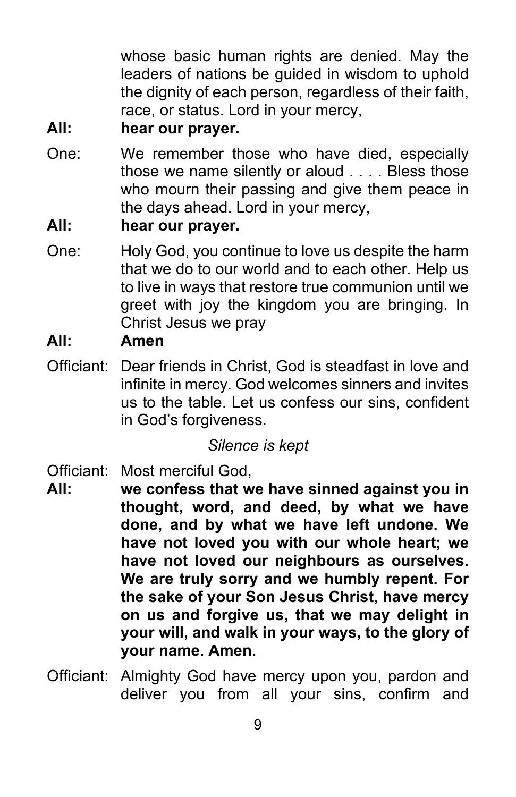whose basic human rights are denied. May the leaders of nations be guided in wisdom to uphold the dignity of each person, regardless of their faith, race, or status. Lord in your mercy,

## **All: hear our prayer.**

One: We remember those who have died, especially those we name silently or aloud . . . . Bless those who mourn their passing and give them peace in the days ahead. Lord in your mercy,

## **All: hear our prayer.**

One: Holy God, you continue to love us despite the harm that we do to our world and to each other. Help us to live in ways that restore true communion until we greet with joy the kingdom you are bringing. In Christ Jesus we pray

## **All: Amen**

Officiant: Dear friends in Christ, God is steadfast in love and infinite in mercy. God welcomes sinners and invites us to the table. Let us confess our sins, confident in God's forgiveness.

## *Silence is kept*

- Officiant: Most merciful God,
- **All: we confess that we have sinned against you in thought, word, and deed, by what we have done, and by what we have left undone. We have not loved you with our whole heart; we have not loved our neighbours as ourselves. We are truly sorry and we humbly repent. For the sake of your Son Jesus Christ, have mercy on us and forgive us, that we may delight in your will, and walk in your ways, to the glory of your name. Amen.**
- Officiant: Almighty God have mercy upon you, pardon and deliver you from all your sins, confirm and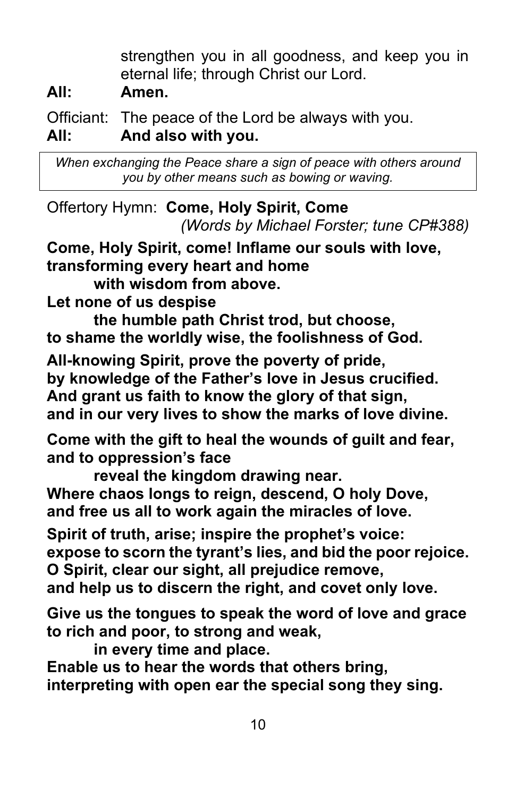strengthen you in all goodness, and keep you in eternal life; through Christ our Lord.

## **All: Amen.**

Officiant: The peace of the Lord be always with you. **All: And also with you.**

*When exchanging the Peace share a sign of peace with others around you by other means such as bowing or waving.*

Offertory Hymn: **Come, Holy Spirit, Come** *(Words by Michael Forster; tune CP#388)*

**Come, Holy Spirit, come! Inflame our souls with love, transforming every heart and home with wisdom from above.** 

**Let none of us despise** 

**the humble path Christ trod, but choose, to shame the worldly wise, the foolishness of God.**

**All-knowing Spirit, prove the poverty of pride, by knowledge of the Father's love in Jesus crucified. And grant us faith to know the glory of that sign, and in our very lives to show the marks of love divine.**

**Come with the gift to heal the wounds of guilt and fear, and to oppression's face** 

**reveal the kingdom drawing near.** 

**Where chaos longs to reign, descend, O holy Dove, and free us all to work again the miracles of love.**

**Spirit of truth, arise; inspire the prophet's voice:** 

**expose to scorn the tyrant's lies, and bid the poor rejoice. O Spirit, clear our sight, all prejudice remove,** 

**and help us to discern the right, and covet only love.**

**Give us the tongues to speak the word of love and grace to rich and poor, to strong and weak,** 

**in every time and place.** 

**Enable us to hear the words that others bring, interpreting with open ear the special song they sing.**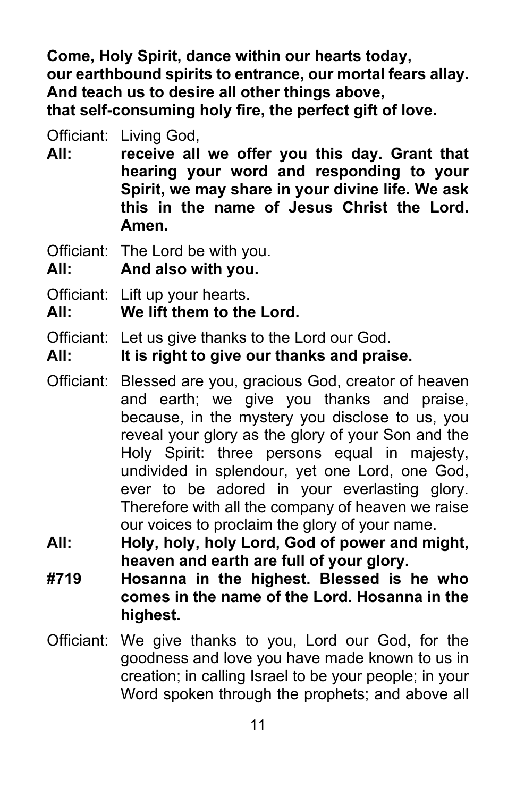**Come, Holy Spirit, dance within our hearts today, our earthbound spirits to entrance, our mortal fears allay. And teach us to desire all other things above, that self-consuming holy fire, the perfect gift of love.**

Officiant: Living God,

- **All: receive all we offer you this day. Grant that hearing your word and responding to your Spirit, we may share in your divine life. We ask this in the name of Jesus Christ the Lord. Amen.**
- Officiant: The Lord be with you.
- **All: And also with you.**
- Officiant: Lift up your hearts.
- **All: We lift them to the Lord.**
- Officiant: Let us give thanks to the Lord our God.
- **All: It is right to give our thanks and praise.**
- Officiant: Blessed are you, gracious God, creator of heaven and earth; we give you thanks and praise, because, in the mystery you disclose to us, you reveal your glory as the glory of your Son and the Holy Spirit: three persons equal in majesty, undivided in splendour, yet one Lord, one God, ever to be adored in your everlasting glory. Therefore with all the company of heaven we raise our voices to proclaim the glory of your name.
- **All: Holy, holy, holy Lord, God of power and might, heaven and earth are full of your glory.**
- **#719 Hosanna in the highest. Blessed is he who comes in the name of the Lord. Hosanna in the highest.**
- Officiant: We give thanks to you, Lord our God, for the goodness and love you have made known to us in creation; in calling Israel to be your people; in your Word spoken through the prophets; and above all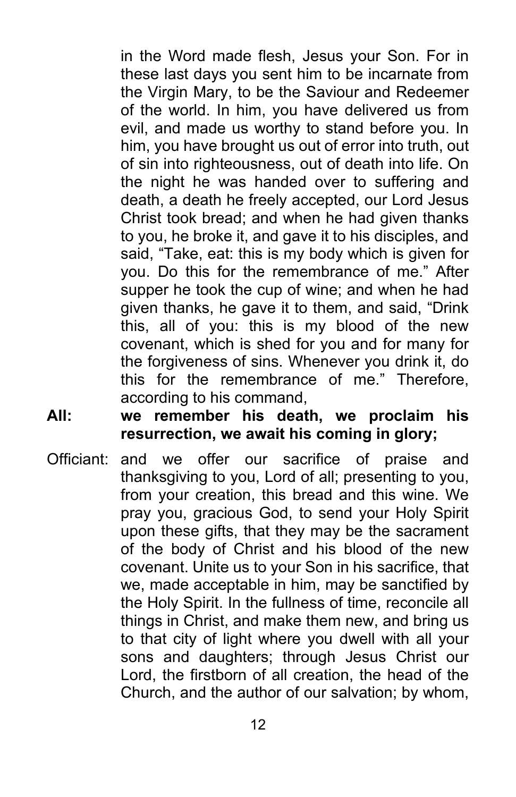in the Word made flesh, Jesus your Son. For in these last days you sent him to be incarnate from the Virgin Mary, to be the Saviour and Redeemer of the world. In him, you have delivered us from evil, and made us worthy to stand before you. In him, you have brought us out of error into truth, out of sin into righteousness, out of death into life. On the night he was handed over to suffering and death, a death he freely accepted, our Lord Jesus Christ took bread; and when he had given thanks to you, he broke it, and gave it to his disciples, and said, "Take, eat: this is my body which is given for you. Do this for the remembrance of me." After supper he took the cup of wine; and when he had given thanks, he gave it to them, and said, "Drink this, all of you: this is my blood of the new covenant, which is shed for you and for many for the forgiveness of sins. Whenever you drink it, do this for the remembrance of me." Therefore, according to his command,

- **All: we remember his death, we proclaim his resurrection, we await his coming in glory;**
- Officiant: and we offer our sacrifice of praise and thanksgiving to you, Lord of all; presenting to you, from your creation, this bread and this wine. We pray you, gracious God, to send your Holy Spirit upon these gifts, that they may be the sacrament of the body of Christ and his blood of the new covenant. Unite us to your Son in his sacrifice, that we, made acceptable in him, may be sanctified by the Holy Spirit. In the fullness of time, reconcile all things in Christ, and make them new, and bring us to that city of light where you dwell with all your sons and daughters; through Jesus Christ our Lord, the firstborn of all creation, the head of the Church, and the author of our salvation; by whom,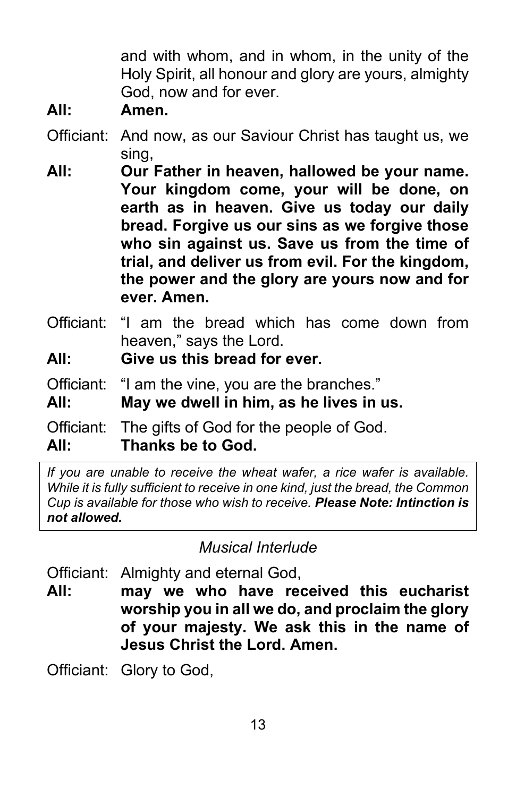and with whom, and in whom, in the unity of the Holy Spirit, all honour and glory are yours, almighty God, now and for ever.

- **All: Amen.**
- Officiant: And now, as our Saviour Christ has taught us, we sing,
- **All: Our Father in heaven, hallowed be your name. Your kingdom come, your will be done, on earth as in heaven. Give us today our daily bread. Forgive us our sins as we forgive those who sin against us. Save us from the time of trial, and deliver us from evil. For the kingdom, the power and the glory are yours now and for ever. Amen.**
- Officiant: "I am the bread which has come down from heaven," says the Lord.
- **All: Give us this bread for ever.**
- Officiant: "I am the vine, you are the branches."
- **All: May we dwell in him, as he lives in us.**

Officiant: The gifts of God for the people of God.

**All: Thanks be to God.**

*If you are unable to receive the wheat wafer, a rice wafer is available. While it is fully sufficient to receive in one kind, just the bread, the Common Cup is available for those who wish to receive. Please Note: Intinction is not allowed.*

## *Musical Interlude*

Officiant: Almighty and eternal God,

**All: may we who have received this eucharist worship you in all we do, and proclaim the glory of your majesty. We ask this in the name of Jesus Christ the Lord. Amen.**

Officiant: Glory to God,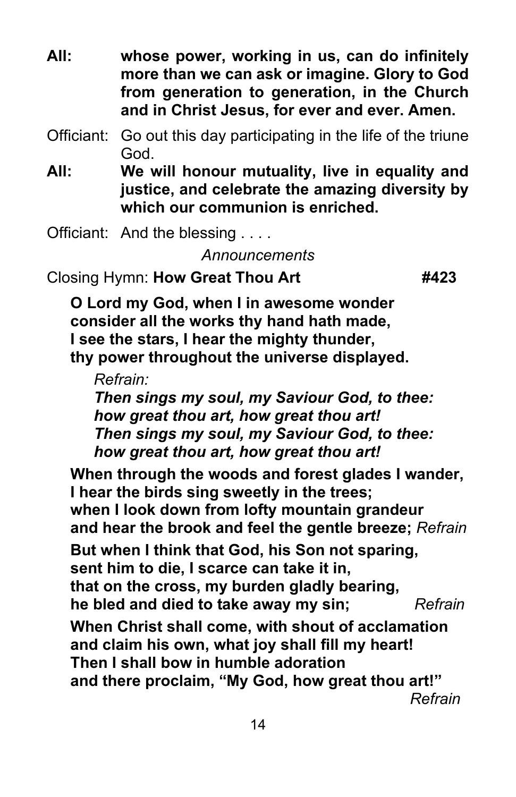**All: whose power, working in us, can do infinitely more than we can ask or imagine. Glory to God from generation to generation, in the Church and in Christ Jesus, for ever and ever. Amen.**

Officiant: Go out this day participating in the life of the triune God.

**All: We will honour mutuality, live in equality and justice, and celebrate the amazing diversity by which our communion is enriched.**

Officiant: And the blessing . . . .

*Announcements*

Closing Hymn: **How Great Thou Art #423**

**O Lord my God, when I in awesome wonder consider all the works thy hand hath made, I see the stars, I hear the mighty thunder, thy power throughout the universe displayed.**

*Refrain:*

*Then sings my soul, my Saviour God, to thee: how great thou art, how great thou art! Then sings my soul, my Saviour God, to thee: how great thou art, how great thou art!*

**When through the woods and forest glades I wander, I hear the birds sing sweetly in the trees; when I look down from lofty mountain grandeur and hear the brook and feel the gentle breeze;** *Refrain* **But when I think that God, his Son not sparing, sent him to die, I scarce can take it in, that on the cross, my burden gladly bearing, he bled and died to take away my sin;** *Refrain* **When Christ shall come, with shout of acclamation and claim his own, what joy shall fill my heart! Then I shall bow in humble adoration and there proclaim, "My God, how great thou art!"**  *Refrain*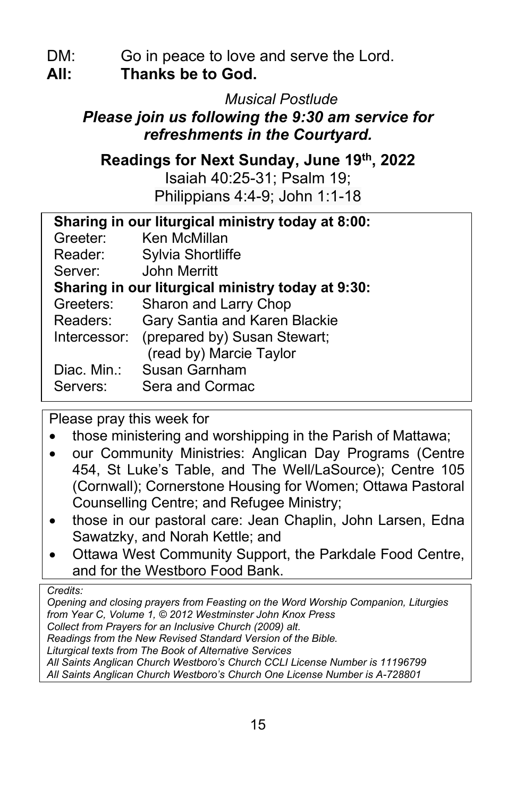DM: Go in peace to love and serve the Lord.

### **All: Thanks be to God.**

## *Musical Postlude Please join us following the 9:30 am service for refreshments in the Courtyard.*

**Readings for Next Sunday, June 19th, 2022** Isaiah 40:25-31; Psalm 19; Philippians 4:4-9; John 1:1-18

| Sharing in our liturgical ministry today at 8:00: |                                           |  |  |  |
|---------------------------------------------------|-------------------------------------------|--|--|--|
| Greeter:                                          | Ken McMillan                              |  |  |  |
| Reader:                                           | Sylvia Shortliffe                         |  |  |  |
| Server:                                           | John Merritt                              |  |  |  |
| Sharing in our liturgical ministry today at 9:30: |                                           |  |  |  |
| Greeters:                                         | Sharon and Larry Chop                     |  |  |  |
| Readers:                                          | Gary Santia and Karen Blackie             |  |  |  |
|                                                   | Intercessor: (prepared by) Susan Stewart; |  |  |  |
|                                                   | (read by) Marcie Taylor                   |  |  |  |
| Diac. Min.:                                       | Susan Garnham                             |  |  |  |
| Servers:                                          | Sera and Cormac                           |  |  |  |

Please pray this week for

- those ministering and worshipping in the Parish of Mattawa;
- our Community Ministries: Anglican Day Programs (Centre 454, St Luke's Table, and The Well/LaSource); Centre 105 (Cornwall); Cornerstone Housing for Women; Ottawa Pastoral Counselling Centre; and Refugee Ministry;
- those in our pastoral care: Jean Chaplin, John Larsen, Edna Sawatzky, and Norah Kettle; and
- Ottawa West Community Support, the Parkdale Food Centre, and for the Westboro Food Bank.

*Credits:* 

*Opening and closing prayers from Feasting on the Word Worship Companion, Liturgies from Year C, Volume 1, © 2012 Westminster John Knox Press Collect from Prayers for an Inclusive Church (2009) alt. Readings from the New Revised Standard Version of the Bible. Liturgical texts from The Book of Alternative Services All Saints Anglican Church Westboro's Church CCLI License Number is 11196799 All Saints Anglican Church Westboro's Church One License Number is A-728801*